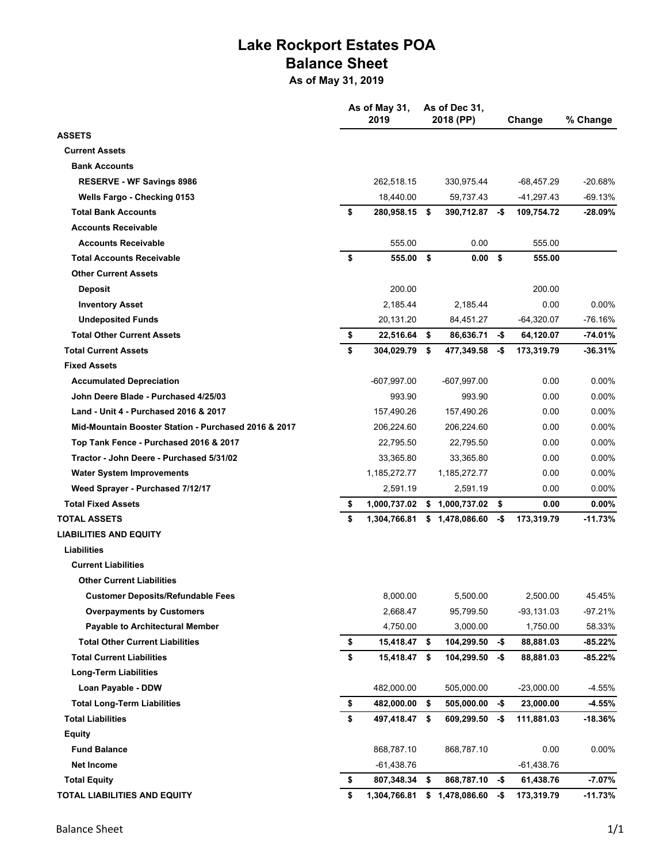## **Lake Rockport Estates POA Balance Sheet**

**As of May 31, 2019**

|                                                      | As of May 31, |               |      | As of Dec 31,     |     |              |           |
|------------------------------------------------------|---------------|---------------|------|-------------------|-----|--------------|-----------|
| <b>ASSETS</b>                                        |               | 2019          |      | 2018 (PP)         |     | Change       | % Change  |
| <b>Current Assets</b>                                |               |               |      |                   |     |              |           |
| <b>Bank Accounts</b>                                 |               |               |      |                   |     |              |           |
| <b>RESERVE - WF Savings 8986</b>                     |               | 262,518.15    |      |                   |     |              |           |
|                                                      |               |               |      | 330,975.44        |     | -68,457.29   | -20.68%   |
| Wells Fargo - Checking 0153                          |               | 18,440.00     |      | 59,737.43         |     | $-41,297.43$ | -69.13%   |
| <b>Total Bank Accounts</b>                           | \$            | 280,958.15 \$ |      | 390,712.87        | -\$ | 109,754.72   | -28.09%   |
| <b>Accounts Receivable</b>                           |               |               |      |                   |     |              |           |
| <b>Accounts Receivable</b>                           |               | 555.00        |      | 0.00              |     | 555.00       |           |
| <b>Total Accounts Receivable</b>                     | \$            | 555.00        | - \$ | 0.00 <sup>5</sup> |     | 555.00       |           |
| <b>Other Current Assets</b>                          |               |               |      |                   |     |              |           |
| Deposit                                              |               | 200.00        |      |                   |     | 200.00       |           |
| <b>Inventory Asset</b>                               |               | 2,185.44      |      | 2,185.44          |     | 0.00         | $0.00\%$  |
| <b>Undeposited Funds</b>                             |               | 20,131.20     |      | 84,451.27         |     | $-64,320.07$ | -76.16%   |
| <b>Total Other Current Assets</b>                    | \$            | 22,516.64 \$  |      | 86,636.71         | -\$ | 64,120.07    | $-74.01%$ |
| <b>Total Current Assets</b>                          | \$            | 304,029.79    | - \$ | 477,349.58        | -\$ | 173,319.79   | $-36.31%$ |
| <b>Fixed Assets</b>                                  |               |               |      |                   |     |              |           |
| <b>Accumulated Depreciation</b>                      |               | -607,997.00   |      | -607,997.00       |     | 0.00         | $0.00\%$  |
| John Deere Blade - Purchased 4/25/03                 |               | 993.90        |      | 993.90            |     | 0.00         | $0.00\%$  |
| Land - Unit 4 - Purchased 2016 & 2017                |               | 157,490.26    |      | 157,490.26        |     | 0.00         | $0.00\%$  |
| Mid-Mountain Booster Station - Purchased 2016 & 2017 |               | 206,224.60    |      | 206,224.60        |     | 0.00         | $0.00\%$  |
| Top Tank Fence - Purchased 2016 & 2017               |               | 22,795.50     |      | 22,795.50         |     | 0.00         | $0.00\%$  |
| Tractor - John Deere - Purchased 5/31/02             |               | 33,365.80     |      | 33,365.80         |     | 0.00         | $0.00\%$  |
| <b>Water System Improvements</b>                     |               | 1,185,272.77  |      | 1,185,272.77      |     | 0.00         | $0.00\%$  |
| Weed Sprayer - Purchased 7/12/17                     |               | 2,591.19      |      | 2,591.19          |     | 0.00         | $0.00\%$  |
| <b>Total Fixed Assets</b>                            | \$            | 1,000,737.02  |      | \$1,000,737.02    | \$  | 0.00         | $0.00\%$  |
| <b>TOTAL ASSETS</b>                                  | \$            | 1,304,766.81  |      | \$1,478,086.60    | -\$ | 173,319.79   | $-11.73%$ |
| <b>LIABILITIES AND EQUITY</b>                        |               |               |      |                   |     |              |           |
| <b>Liabilities</b>                                   |               |               |      |                   |     |              |           |
| <b>Current Liabilities</b>                           |               |               |      |                   |     |              |           |
| <b>Other Current Liabilities</b>                     |               |               |      |                   |     |              |           |
| <b>Customer Deposits/Refundable Fees</b>             |               | 8,000.00      |      | 5,500.00          |     | 2,500.00     | 45.45%    |
| <b>Overpayments by Customers</b>                     |               | 2,668.47      |      | 95,799.50         |     | $-93,131.03$ | $-97.21%$ |
| <b>Payable to Architectural Member</b>               |               | 4,750.00      |      | 3,000.00          |     | 1,750.00     | 58.33%    |
| <b>Total Other Current Liabilities</b>               | \$            | 15,418.47 \$  |      | 104,299.50        | -\$ | 88,881.03    | $-85.22%$ |
| <b>Total Current Liabilities</b>                     | \$            | 15,418.47 \$  |      | 104,299.50        | -\$ | 88,881.03    | -85.22%   |
| <b>Long-Term Liabilities</b>                         |               |               |      |                   |     |              |           |
| Loan Payable - DDW                                   |               | 482,000.00    |      | 505,000.00        |     | $-23,000.00$ | $-4.55%$  |
| <b>Total Long-Term Liabilities</b>                   | \$            | 482,000.00    | \$   | 505,000.00        | -\$ | 23,000.00    | $-4.55%$  |
| <b>Total Liabilities</b>                             | \$            | 497,418.47 \$ |      | 609,299.50        | -\$ | 111,881.03   | $-18.36%$ |
| <b>Equity</b>                                        |               |               |      |                   |     |              |           |
| <b>Fund Balance</b>                                  |               | 868,787.10    |      | 868,787.10        |     | 0.00         | 0.00%     |
| <b>Net Income</b>                                    |               | -61,438.76    |      |                   |     | -61,438.76   |           |
| <b>Total Equity</b>                                  | \$            | 807,348.34 \$ |      | 868,787.10        | -\$ | 61,438.76    | $-7.07%$  |
| TOTAL LIABILITIES AND EQUITY                         | \$            | 1,304,766.81  | \$   | 1,478,086.60      | -\$ | 173,319.79   | $-11.73%$ |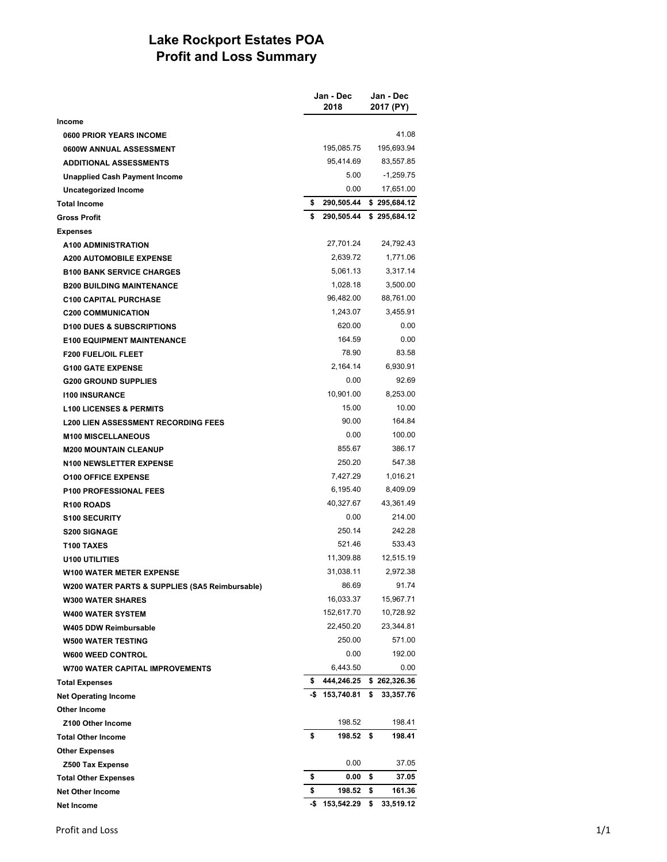## **Lake Rockport Estates POA Profit and Loss Summary**

|                                                |     | Jan - Dec<br>2018 | Jan - Dec<br>2017 (PY) |
|------------------------------------------------|-----|-------------------|------------------------|
| Income                                         |     |                   |                        |
| 0600 PRIOR YEARS INCOME                        |     |                   | 41.08                  |
| 0600W ANNUAL ASSESSMENT                        |     | 195,085.75        | 195,693.94             |
| <b>ADDITIONAL ASSESSMENTS</b>                  |     | 95,414.69         | 83,557.85              |
| <b>Unapplied Cash Payment Income</b>           |     | 5.00              | $-1,259.75$            |
| Uncategorized Income                           |     | 0.00              | 17,651.00              |
| <b>Total Income</b>                            | \$  | 290,505.44        | \$295,684.12           |
| <b>Gross Profit</b>                            | \$  | 290,505.44        | \$295,684.12           |
| <b>Expenses</b>                                |     |                   |                        |
| <b>A100 ADMINISTRATION</b>                     |     | 27,701.24         | 24,792.43              |
| <b>A200 AUTOMOBILE EXPENSE</b>                 |     | 2,639.72          | 1,771.06               |
| <b>B100 BANK SERVICE CHARGES</b>               |     | 5,061.13          | 3,317.14               |
| <b>B200 BUILDING MAINTENANCE</b>               |     | 1,028.18          | 3,500.00               |
| <b>C100 CAPITAL PURCHASE</b>                   |     | 96,482.00         | 88,761.00              |
| <b>C200 COMMUNICATION</b>                      |     | 1,243.07          | 3.455.91               |
| <b>D100 DUES &amp; SUBSCRIPTIONS</b>           |     | 620.00            | 0.00                   |
| <b>E100 EQUIPMENT MAINTENANCE</b>              |     | 164.59            | 0.00                   |
| <b>F200 FUEL/OIL FLEET</b>                     |     | 78.90             | 83.58                  |
| <b>G100 GATE EXPENSE</b>                       |     | 2,164.14          | 6,930.91               |
| <b>G200 GROUND SUPPLIES</b>                    |     | 0.00              | 92.69                  |
| <b>1100 INSURANCE</b>                          |     | 10,901.00         | 8,253.00               |
| <b>L100 LICENSES &amp; PERMITS</b>             |     | 15.00             | 10.00                  |
| <b>L200 LIEN ASSESSMENT RECORDING FEES</b>     |     | 90.00             | 164.84                 |
| <b>M100 MISCELLANEOUS</b>                      |     | 0.00              | 100.00                 |
| <b>M200 MOUNTAIN CLEANUP</b>                   |     | 855.67            | 386.17                 |
| <b>N100 NEWSLETTER EXPENSE</b>                 |     | 250.20            | 547.38                 |
| <b>O100 OFFICE EXPENSE</b>                     |     | 7,427.29          | 1,016.21               |
| <b>P100 PROFESSIONAL FEES</b>                  |     | 6,195.40          | 8,409.09               |
| R <sub>100</sub> ROADS                         |     | 40,327.67         | 43,361.49              |
| <b>S100 SECURITY</b>                           |     | 0.00              | 214.00                 |
| <b>S200 SIGNAGE</b>                            |     | 250.14            | 242.28                 |
| T100 TAXES                                     |     | 521.46            | 533.43                 |
| <b>U100 UTILITIES</b>                          |     | 11,309.88         | 12,515.19              |
| <b>W100 WATER METER EXPENSE</b>                |     | 31,038.11         | 2,972.38               |
| W200 WATER PARTS & SUPPLIES (SA5 Reimbursable) |     | 86.69             | 91.74                  |
| <b>W300 WATER SHARES</b>                       |     | 16,033.37         | 15,967.71              |
| <b>W400 WATER SYSTEM</b>                       |     | 152,617.70        | 10,728.92              |
| W405 DDW Reimbursable                          |     | 22,450.20         | 23,344.81              |
| <b>W500 WATER TESTING</b>                      |     | 250.00            | 571.00                 |
| <b>W600 WEED CONTROL</b>                       |     | 0.00              | 192.00                 |
| <b>W700 WATER CAPITAL IMPROVEMENTS</b>         |     | 6,443.50          | 0.00                   |
| <b>Total Expenses</b>                          | \$  | 444,246.25        | \$262,326.36           |
| <b>Net Operating Income</b>                    |     | $-$ \$153,740.81  | \$<br>33,357.76        |
| <b>Other Income</b>                            |     |                   |                        |
| Z100 Other Income                              |     | 198.52            | 198.41                 |
| <b>Total Other Income</b>                      | \$  | 198.52            | \$<br>198.41           |
| <b>Other Expenses</b>                          |     |                   |                        |
| <b>Z500 Tax Expense</b>                        |     | 0.00              | 37.05                  |
| <b>Total Other Expenses</b>                    | \$  | 0.00              | \$<br>37.05            |
| <b>Net Other Income</b>                        | \$  | 198.52            | \$<br>161.36           |
| <b>Net Income</b>                              | -\$ | 153,542.29        | \$<br>33,519.12        |